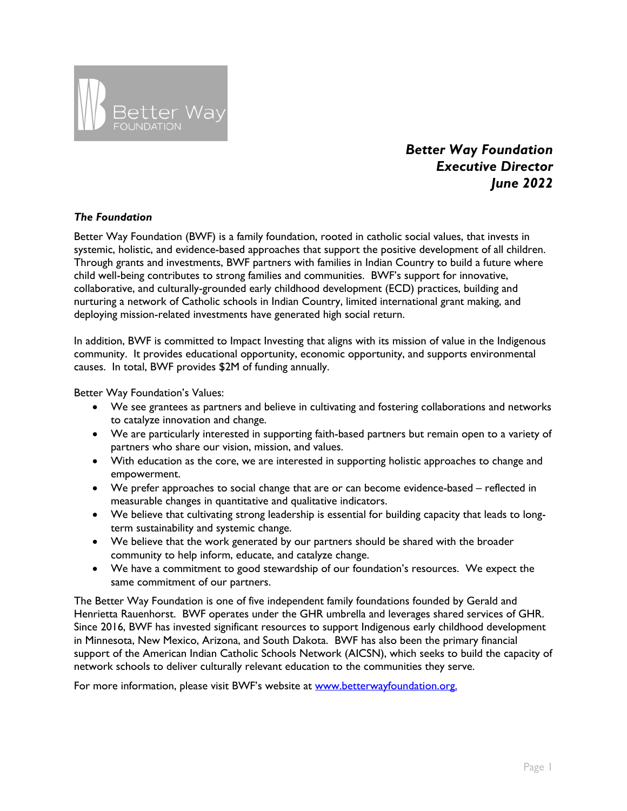

# *Better Way Foundation Executive Director June 2022*

## *The Foundation*

Better Way Foundation (BWF) is a family foundation, rooted in catholic social values, that invests in systemic, holistic, and evidence-based approaches that support the positive development of all children. Through grants and investments, BWF partners with families in Indian Country to build a future where child well-being contributes to strong families and communities. BWF's support for innovative, collaborative, and culturally-grounded early childhood development (ECD) practices, building and nurturing a network of Catholic schools in Indian Country, limited international grant making, and deploying mission-related investments have generated high social return.

In addition, BWF is committed to Impact Investing that aligns with its mission of value in the Indigenous community. It provides educational opportunity, economic opportunity, and supports environmental causes. In total, BWF provides \$2M of funding annually.

Better Way Foundation's Values:

- We see grantees as partners and believe in cultivating and fostering collaborations and networks to catalyze innovation and change.
- We are particularly interested in supporting faith-based partners but remain open to a variety of partners who share our vision, mission, and values.
- With education as the core, we are interested in supporting holistic approaches to change and empowerment.
- We prefer approaches to social change that are or can become evidence-based reflected in measurable changes in quantitative and qualitative indicators.
- We believe that cultivating strong leadership is essential for building capacity that leads to longterm sustainability and systemic change.
- We believe that the work generated by our partners should be shared with the broader community to help inform, educate, and catalyze change.
- We have a commitment to good stewardship of our foundation's resources. We expect the same commitment of our partners.

The Better Way Foundation is one of five independent family foundations founded by Gerald and Henrietta Rauenhorst. BWF operates under the GHR umbrella and leverages shared services of GHR. Since 2016, BWF has invested significant resources to support Indigenous early childhood development in Minnesota, New Mexico, Arizona, and South Dakota. BWF has also been the primary financial support of the American Indian Catholic Schools Network (AICSN), which seeks to build the capacity of network schools to deliver culturally relevant education to the communities they serve.

For more information, please visit BWF's website at www.betterwayfoundation.org.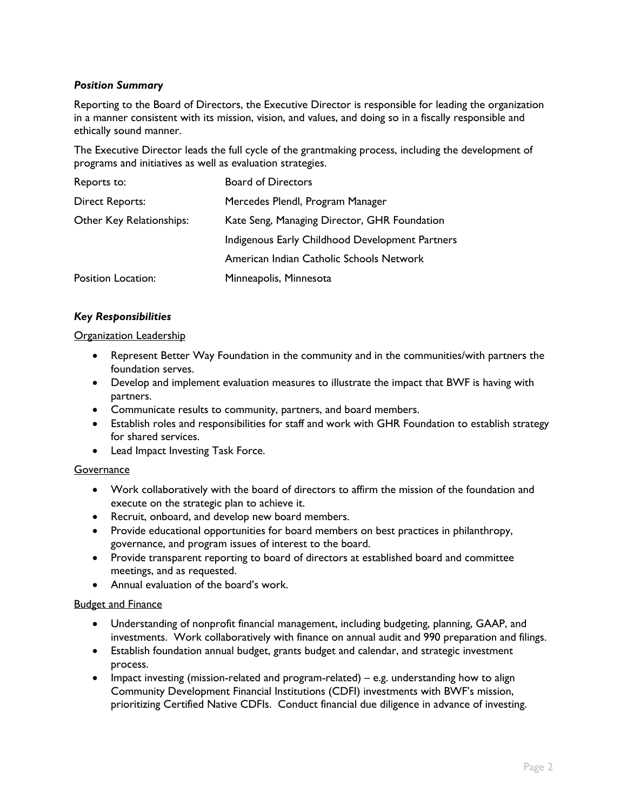## *Position Summary*

Reporting to the Board of Directors, the Executive Director is responsible for leading the organization in a manner consistent with its mission, vision, and values, and doing so in a fiscally responsible and ethically sound manner.

The Executive Director leads the full cycle of the grantmaking process, including the development of programs and initiatives as well as evaluation strategies.

| Reports to:              | <b>Board of Directors</b>                       |
|--------------------------|-------------------------------------------------|
| <b>Direct Reports:</b>   | Mercedes Plendl, Program Manager                |
| Other Key Relationships: | Kate Seng, Managing Director, GHR Foundation    |
|                          | Indigenous Early Childhood Development Partners |
|                          | American Indian Catholic Schools Network        |
| Position Location:       | Minneapolis, Minnesota                          |

### *Key Responsibilities*

#### Organization Leadership

- Represent Better Way Foundation in the community and in the communities/with partners the foundation serves.
- Develop and implement evaluation measures to illustrate the impact that BWF is having with partners.
- Communicate results to community, partners, and board members.
- Establish roles and responsibilities for staff and work with GHR Foundation to establish strategy for shared services.
- Lead Impact Investing Task Force.

### **Governance**

- Work collaboratively with the board of directors to affirm the mission of the foundation and execute on the strategic plan to achieve it.
- Recruit, onboard, and develop new board members.
- Provide educational opportunities for board members on best practices in philanthropy, governance, and program issues of interest to the board.
- Provide transparent reporting to board of directors at established board and committee meetings, and as requested.
- Annual evaluation of the board's work.

### Budget and Finance

- Understanding of nonprofit financial management, including budgeting, planning, GAAP, and investments. Work collaboratively with finance on annual audit and 990 preparation and filings.
- Establish foundation annual budget, grants budget and calendar, and strategic investment process.
- Impact investing (mission-related and program-related) e.g. understanding how to align Community Development Financial Institutions (CDFI) investments with BWF's mission, prioritizing Certified Native CDFIs. Conduct financial due diligence in advance of investing.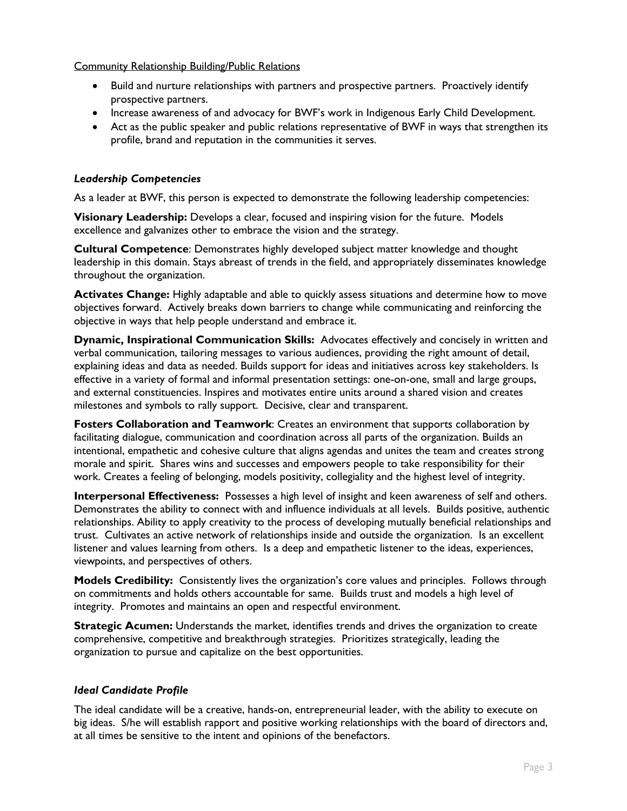### Community Relationship Building/Public Relations

- Build and nurture relationships with partners and prospective partners. Proactively identify prospective partners.
- Increase awareness of and advocacy for BWF's work in Indigenous Early Child Development.
- Act as the public speaker and public relations representative of BWF in ways that strengthen its profile, brand and reputation in the communities it serves.

## *Leadership Competencies*

As a leader at BWF, this person is expected to demonstrate the following leadership competencies:

**Visionary Leadership:** Develops a clear, focused and inspiring vision for the future. Models excellence and galvanizes other to embrace the vision and the strategy.

**Cultural Competence**: Demonstrates highly developed subject matter knowledge and thought leadership in this domain. Stays abreast of trends in the field, and appropriately disseminates knowledge throughout the organization.

**Activates Change:** Highly adaptable and able to quickly assess situations and determine how to move objectives forward. Actively breaks down barriers to change while communicating and reinforcing the objective in ways that help people understand and embrace it.

**Dynamic, Inspirational Communication Skills:** Advocates effectively and concisely in written and verbal communication, tailoring messages to various audiences, providing the right amount of detail, explaining ideas and data as needed. Builds support for ideas and initiatives across key stakeholders. Is effective in a variety of formal and informal presentation settings: one-on-one, small and large groups, and external constituencies. Inspires and motivates entire units around a shared vision and creates milestones and symbols to rally support. Decisive, clear and transparent.

**Fosters Collaboration and Teamwork**: Creates an environment that supports collaboration by facilitating dialogue, communication and coordination across all parts of the organization. Builds an intentional, empathetic and cohesive culture that aligns agendas and unites the team and creates strong morale and spirit. Shares wins and successes and empowers people to take responsibility for their work. Creates a feeling of belonging, models positivity, collegiality and the highest level of integrity.

**Interpersonal Effectiveness:** Possesses a high level of insight and keen awareness of self and others. Demonstrates the ability to connect with and influence individuals at all levels. Builds positive, authentic relationships. Ability to apply creativity to the process of developing mutually beneficial relationships and trust. Cultivates an active network of relationships inside and outside the organization. Is an excellent listener and values learning from others. Is a deep and empathetic listener to the ideas, experiences, viewpoints, and perspectives of others.

**Models Credibility:** Consistently lives the organization's core values and principles. Follows through on commitments and holds others accountable for same. Builds trust and models a high level of integrity. Promotes and maintains an open and respectful environment.

**Strategic Acumen:** Understands the market, identifies trends and drives the organization to create comprehensive, competitive and breakthrough strategies. Prioritizes strategically, leading the organization to pursue and capitalize on the best opportunities.

### *Ideal Candidate Profile*

The ideal candidate will be a creative, hands-on, entrepreneurial leader, with the ability to execute on big ideas. S/he will establish rapport and positive working relationships with the board of directors and, at all times be sensitive to the intent and opinions of the benefactors.